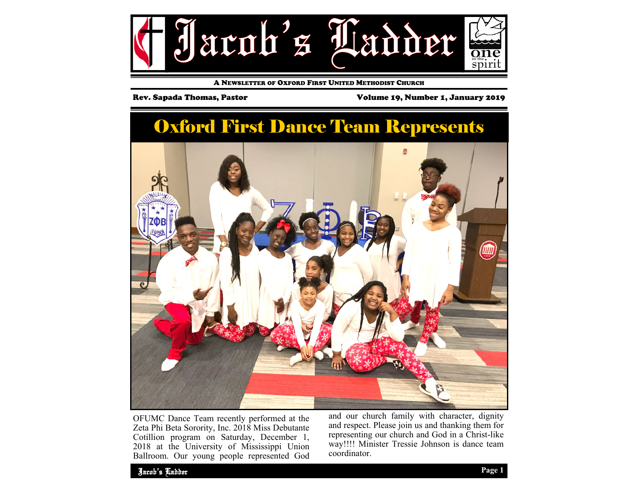

A NEWSLETTER OF OXFORD FIRST UNITED METHODIST CHURCH

Rev. Sapada Thomas, Pastor Volume 19, Number 1, January 2019

# Oxford First Dance Team Represents



OFUMC Dance Team recently performed at the Zeta Phi Beta Sorority, Inc. 2018 Miss Debutante Cotillion program on Saturday, December 1, 2018 at the University of Mississippi Union Ballroom. Our young people represented God and our church family with character, dignity and respect. Please join us and thanking them for representing our church and God in a Christ-like way!!!! Minister Tressie Johnson is dance team coordinator.

Jacob's Ladder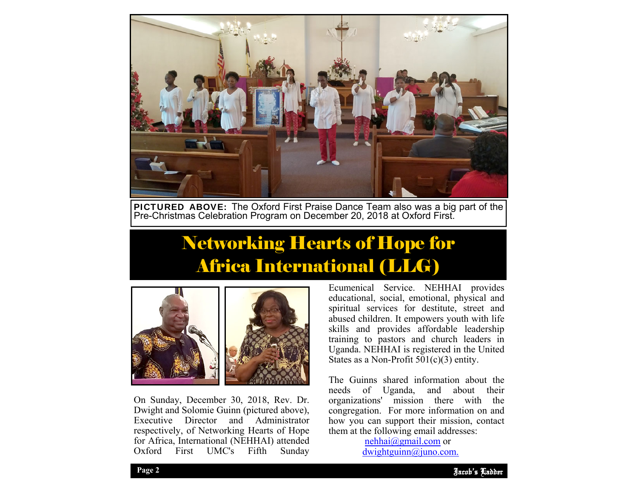

PICTURED ABOVE: The Oxford First Praise Dance Team also was a big part of the Pre-Christmas Celebration Program on December 20, 2018 at Oxford First.

# Networking Hearts of Hope for Africa International (LLG)



On Sunday, December 30, 2018, Rev. Dr. Dwight and Solomie Guinn (pictured above), Executive Director and Administrator respectively, of Networking Hearts of Hope for Africa, International (NEHHAI) attended Oxford First UMC's Fifth Sunday Ecumenical Service. NEHHAI provides educational, social, emotional, physical and spiritual services for destitute, street and abused children. It empowers youth with life skills and provides affordable leadership training to pastors and church leaders in Uganda. NEHHAI is registered in the United States as a Non-Profit 501(c)(3) entity.

how you can support them infission, chem at the following email addresses: The Guinns shared information about the needs of Uganda, and about their organizations' mission there with the congregation. For more information on and how you can support their mission, contact

> nehhai@gmail.com or dwightguinn@juno.com.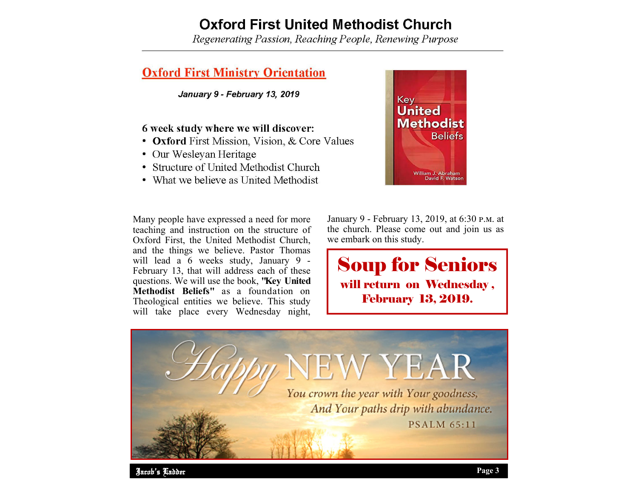# **Oxford First United Methodist Church**

Regenerating Passion, Reaching People, Renewing Purpose

## **Oxford First Ministry Orientation**

January 9 - February 13, 2019

## 6 week study where we will discover:

- **Oxford** First Mission, Vision, & Core Values
- Our Wesleyan Heritage
- Structure of United Methodist Church
- What we believe as United Methodist

Many people have expressed a need for more teaching and instruction on the structure of Oxford First, the United Methodist Church, and the things we believe. Pastor Thomas will lead a 6 weeks study, January 9 -February 13, that will address each of these questions. We will use the book, **"Key United Methodist Beliefs"** as a foundation on Theological entities we believe. This study will take place every Wednesday night,

January 9 - February 13, 2019, at 6:30 p.m. at the church. Please come out and join us as we embark on this study.